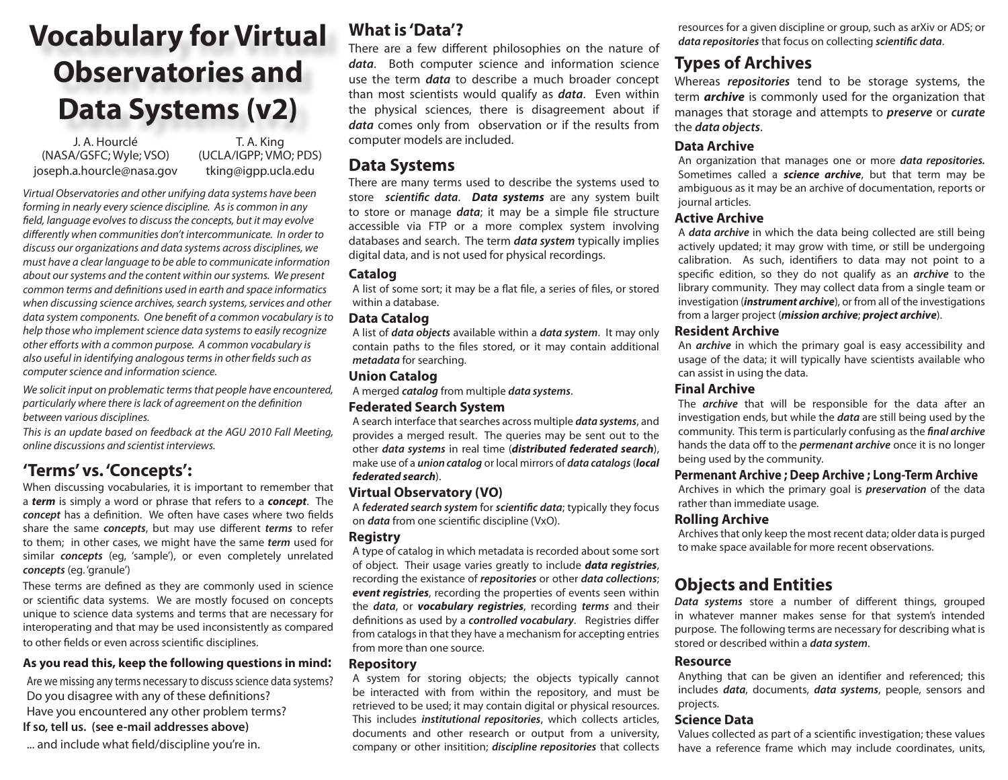# **Vocabulary for Virtual Observatories and Data Systems (v2)**

J. A. Hourclé T. A. King (NASA/GSFC; Wyle; VSO) joseph.a.hourcle@nasa.gov

(UCLA/IGPP; VMO; PDS) tking@igpp.ucla.edu

*Virtual Observatories and other unifying data systems have been forming in nearly every science discipline. As is common in any field, language evolves to discuss the concepts, but it may evolve differently when communities don't intercommunicate. In order to discuss our organizations and data systems across disciplines, we must have a clear language to be able to communicate information about our systems and the content within our systems. We present common terms and definitions used in earth and space informatics when discussing science archives, search systems, services and other data system components. One benefit of a common vocabulary is to help those who implement science data systems to easily recognize other efforts with a common purpose. A common vocabulary is also useful in identifying analogous terms in other fields such as computer science and information science.*

*We solicit input on problematic terms that people have encountered, particularly where there is lack of agreement on the definition between various disciplines.*

*This is an update based on feedback at the AGU 2010 Fall Meeting, online discussions and scientist interviews.*

## **'Terms' vs. 'Concepts':**

When discussing vocabularies, it is important to remember that a *term* is simply a word or phrase that refers to a *concept*. The *concept* has a definition. We often have cases where two fields share the same *concepts*, but may use different *terms* to refer to them; in other cases, we might have the same *term* used for similar *concepts* (eg, 'sample'), or even completely unrelated *concepts* (eg. 'granule')

These terms are defined as they are commonly used in science or scientific data systems. We are mostly focused on concepts unique to science data systems and terms that are necessary for interoperating and that may be used inconsistently as compared to other fields or even across scientific disciplines.

#### **As you read this, keep the following questions in mind:**

Are we missing any terms necessary to discuss science data systems? Do you disagree with any of these definitions? Have you encountered any other problem terms? **If so, tell us. (see e-mail addresses above)**

... and include what field/discipline you're in.

## **What is 'Data'?**

There are a few different philosophies on the nature of *data*. Both computer science and information science use the term *data* to describe a much broader concept than most scientists would qualify as *data*. Even within the physical sciences, there is disagreement about if *data* comes only from observation or if the results from computer models are included.

### **Data Systems**

There are many terms used to describe the systems used to store *scientific data*. *Data systems* are any system built to store or manage *data*; it may be a simple file structure accessible via FTP or a more complex system involving databases and search. The term *data system* typically implies digital data, and is not used for physical recordings.

#### **Catalog**

A list of some sort; it may be a flat file, a series of files, or stored within a database.

#### **Data Catalog**

A list of *data objects* available within a *data system*. It may only contain paths to the files stored, or it may contain additional *metadata* for searching.

#### **Union Catalog**

A merged *catalog* from multiple *data systems*.

#### **Federated Search System**

A search interface that searches across multiple *data systems*, and provides a merged result. The queries may be sent out to the other *data systems* in real time (*distributed federated search*), make use of a *union catalog* or local mirrors of *data catalogs* (*local federated search*).

#### **Virtual Observatory (VO)**

A *federated search system* for *scientific data*; typically they focus on *data* from one scientific discipline (VxO).

#### **Registry**

A type of catalog in which metadata is recorded about some sort of object. Their usage varies greatly to include *data registries*, recording the existance of *repositories* or other *data collections*; *event registries*, recording the properties of events seen within the *data*, or *vocabulary registries*, recording *terms* and their definitions as used by a *controlled vocabulary*. Registries differ from catalogs in that they have a mechanism for accepting entries from more than one source.

#### **Repository**

A system for storing objects; the objects typically cannot be interacted with from within the repository, and must be retrieved to be used; it may contain digital or physical resources. This includes *institutional repositories*, which collects articles, documents and other research or output from a university, company or other insitition; *discipline repositories* that collects resources for a given discipline or group, such as arXiv or ADS; or *data repositories* that focus on collecting *scientific data*.

## **Types of Archives**

Whereas *repositories* tend to be storage systems, the term *archive* is commonly used for the organization that manages that storage and attempts to *preserve* or *curate* the *data objects*.

#### **Data Archive**

An organization that manages one or more *data repositories.*  Sometimes called a *science archive*, but that term may be ambiguous as it may be an archive of documentation, reports or journal articles.

#### **Active Archive**

A *data archive* in which the data being collected are still being actively updated; it may grow with time, or still be undergoing calibration. As such, identifiers to data may not point to a specific edition, so they do not qualify as an *archive* to the library community. They may collect data from a single team or investigation (*instrument archive*), or from all of the investigations from a larger project (*mission archive*; *project archive*).

#### **Resident Archive**

An *archive* in which the primary goal is easy accessibility and usage of the data; it will typically have scientists available who can assist in using the data.

#### **Final Archive**

The *archive* that will be responsible for the data after an investigation ends, but while the *data* are still being used by the community. This term is particularly confusing as the *final archive* hands the data off to the *permenant archive* once it is no longer being used by the community.

#### **Permenant Archive ; Deep Archive ; Long-Term Archive**

Archives in which the primary goal is *preservation* of the data rather than immediate usage.

#### **Rolling Archive**

Archives that only keep the most recent data; older data is purged to make space available for more recent observations.

# **Objects and Entities**

*Data systems* store a number of different things, grouped in whatever manner makes sense for that system's intended purpose. The following terms are necessary for describing what is stored or described within a *data system*.

#### **Resource**

Anything that can be given an identifier and referenced; this includes *data*, documents, *data systems*, people, sensors and projects.

#### **Science Data**

Values collected as part of a scientific investigation; these values have a reference frame which may include coordinates, units,